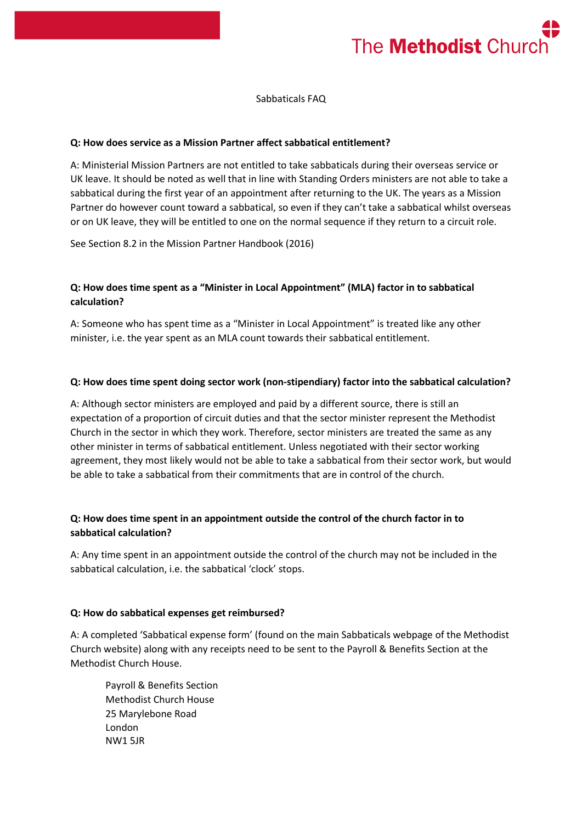

Sabbaticals FAQ

#### **Q: How does service as a Mission Partner affect sabbatical entitlement?**

A: Ministerial Mission Partners are not entitled to take sabbaticals during their overseas service or UK leave. It should be noted as well that in line with Standing Orders ministers are not able to take a sabbatical during the first year of an appointment after returning to the UK. The years as a Mission Partner do however count toward a sabbatical, so even if they can't take a sabbatical whilst overseas or on UK leave, they will be entitled to one on the normal sequence if they return to a circuit role.

See Section 8.2 in the Mission Partner Handbook (2016)

# **Q: How does time spent as a "Minister in Local Appointment" (MLA) factor in to sabbatical calculation?**

A: Someone who has spent time as a "Minister in Local Appointment" is treated like any other minister, i.e. the year spent as an MLA count towards their sabbatical entitlement.

### **Q: How does time spent doing sector work (non-stipendiary) factor into the sabbatical calculation?**

A: Although sector ministers are employed and paid by a different source, there is still an expectation of a proportion of circuit duties and that the sector minister represent the Methodist Church in the sector in which they work. Therefore, sector ministers are treated the same as any other minister in terms of sabbatical entitlement. Unless negotiated with their sector working agreement, they most likely would not be able to take a sabbatical from their sector work, but would be able to take a sabbatical from their commitments that are in control of the church.

## **Q: How does time spent in an appointment outside the control of the church factor in to sabbatical calculation?**

A: Any time spent in an appointment outside the control of the church may not be included in the sabbatical calculation, i.e. the sabbatical 'clock' stops.

#### **Q: How do sabbatical expenses get reimbursed?**

A: A completed 'Sabbatical expense form' (found on the main Sabbaticals webpage of the Methodist Church website) along with any receipts need to be sent to the Payroll & Benefits Section at the Methodist Church House.

Payroll & Benefits Section Methodist Church House 25 Marylebone Road London NW1 5JR